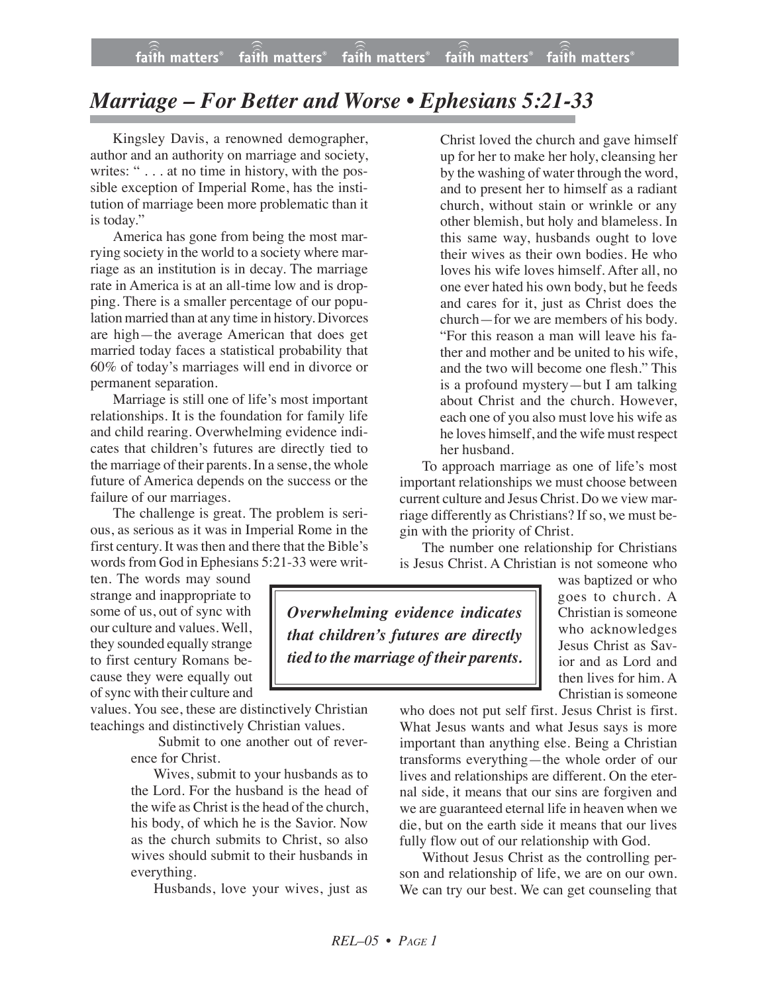## *Marriage – For Better and Worse • Ephesians 5:21-33*

Kingsley Davis, a renowned demographer, author and an authority on marriage and society, writes: " . . . at no time in history, with the possible exception of Imperial Rome, has the institution of marriage been more problematic than it is today."

America has gone from being the most marrying society in the world to a society where marriage as an institution is in decay. The marriage rate in America is at an all-time low and is dropping. There is a smaller percentage of our population married than at any time in history. Divorces are high—the average American that does get married today faces a statistical probability that 60% of today's marriages will end in divorce or permanent separation.

Marriage is still one of life's most important relationships. It is the foundation for family life and child rearing. Overwhelming evidence indicates that children's futures are directly tied to the marriage of their parents. In a sense, the whole future of America depends on the success or the failure of our marriages.

The challenge is great. The problem is serious, as serious as it was in Imperial Rome in the first century. It was then and there that the Bible's words from God in Ephesians 5:21-33 were writ-

ten. The words may sound strange and inappropriate to some of us, out of sync with our culture and values. Well, they sounded equally strange to first century Romans because they were equally out ofsync with their culture and

values. You see, these are distinctively Christian teachings and distinctively Christian values.

Submit to one another out of reverence for Christ.

Wives, submit to your husbands as to the Lord. For the husband is the head of the wife as Christ is the head of the church, his body, of which he is the Savior. Now as the church submits to Christ, so also wives should submit to their husbands in everything.

Husbands, love your wives, just as

Christ loved the church and gave himself up for her to make her holy, cleansing her by the washing of water through the word, and to present her to himself as a radiant church, without stain or wrinkle or any other blemish, but holy and blameless. In this same way, husbands ought to love their wives as their own bodies. He who loves his wife loves himself. After all, no one ever hated his own body, but he feeds and cares for it, just as Christ does the church—for we are members of his body. "For this reason a man will leave his father and mother and be united to his wife, and the two will become one flesh." This is a profound mystery—but I am talking about Christ and the church. However, each one of you also must love his wife as he loves himself, and the wife must respect her husband.

To approach marriage as one of life's most important relationships we must choose between current culture and Jesus Christ. Do we view marriage differently as Christians? If so, we must begin with the priority of Christ.

The number one relationship for Christians is Jesus Christ. A Christian is not someone who

*Overwhelming evidence indicates that children's futures are directly tied to the marriage of their parents.*

was baptized or who goes to church. A Christian is someone who acknowledges Jesus Christ as Savior and as Lord and then lives for him. A Christian is someone

who does not put self first. Jesus Christ is first. What Jesus wants and what Jesus says is more important than anything else. Being a Christian transforms everything—the whole order of our lives and relationships are different. On the eternal side, it means that our sins are forgiven and we are guaranteed eternal life in heaven when we die, but on the earth side it means that our lives fully flow out of our relationship with God.

Without Jesus Christ as the controlling person and relationship of life, we are on our own. We can try our best. We can get counseling that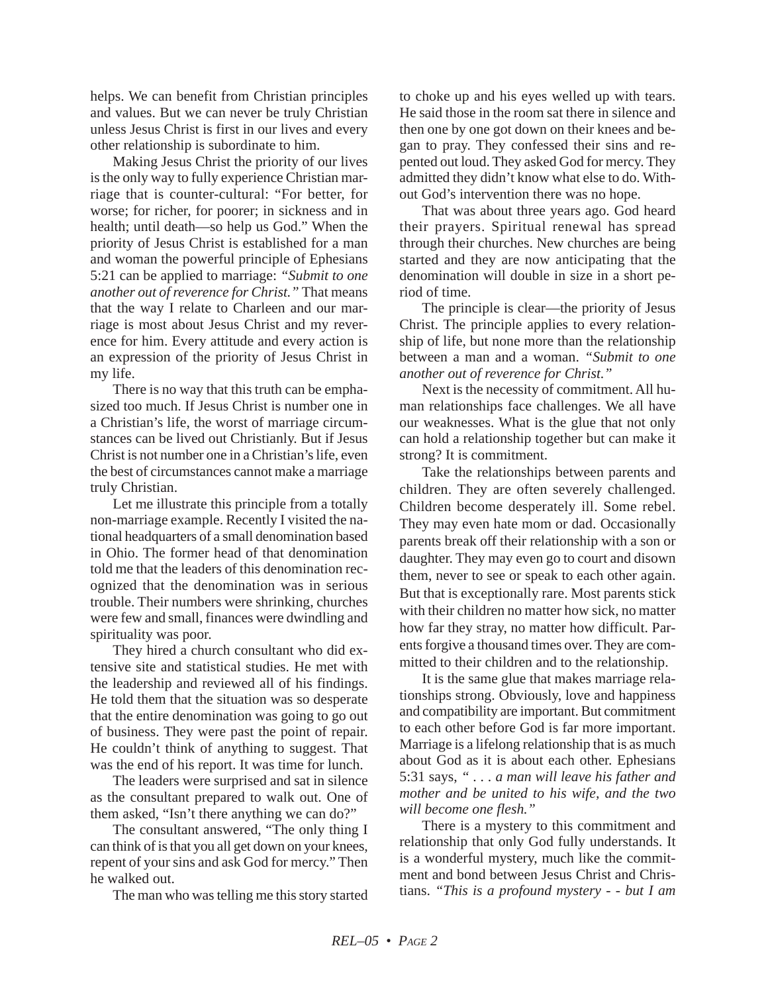helps. We can benefit from Christian principles and values. But we can never be truly Christian unless Jesus Christ is first in our lives and every other relationship is subordinate to him.

Making Jesus Christ the priority of our lives is the only way to fully experience Christian marriage that is counter-cultural: "For better, for worse; for richer, for poorer; in sickness and in health; until death—so help us God." When the priority of Jesus Christ is established for a man and woman the powerful principle of Ephesians 5:21 can be applied to marriage: *"Submit to one another out of reverence for Christ."* That means that the way I relate to Charleen and our marriage is most about Jesus Christ and my reverence for him. Every attitude and every action is an expression of the priority of Jesus Christ in my life.

There is no way that this truth can be emphasized too much. If Jesus Christ is number one in a Christian's life, the worst of marriage circumstances can be lived out Christianly. But if Jesus Christ is not number one in a Christian's life, even the best of circumstances cannot make a marriage truly Christian.

Let me illustrate this principle from a totally non-marriage example. Recently I visited the national headquarters of a small denomination based in Ohio. The former head of that denomination told me that the leaders of this denomination recognized that the denomination was in serious trouble. Their numbers were shrinking, churches were few and small, finances were dwindling and spirituality was poor.

They hired a church consultant who did extensive site and statistical studies. He met with the leadership and reviewed all of his findings. He told them that the situation was so desperate that the entire denomination was going to go out of business. They were past the point of repair. He couldn't think of anything to suggest. That was the end of his report. It was time for lunch.

The leaders were surprised and sat in silence as the consultant prepared to walk out. One of them asked, "Isn't there anything we can do?"

The consultant answered, "The only thing I can think of is that you all get down on your knees, repent of your sins and ask God for mercy." Then he walked out.

The man who was telling me this story started

to choke up and his eyes welled up with tears. He said those in the room sat there in silence and then one by one got down on their knees and began to pray. They confessed their sins and repented out loud. They asked God for mercy. They admitted they didn't know what else to do. Without God's intervention there was no hope.

That was about three years ago. God heard their prayers. Spiritual renewal has spread through their churches. New churches are being started and they are now anticipating that the denomination will double in size in a short period of time.

The principle is clear—the priority of Jesus Christ. The principle applies to every relationship of life, but none more than the relationship between a man and a woman. *"Submit to one another out of reverence for Christ."*

Next is the necessity of commitment. All human relationships face challenges. We all have our weaknesses. What is the glue that not only can hold a relationship together but can make it strong? It is commitment.

Take the relationships between parents and children. They are often severely challenged. Children become desperately ill. Some rebel. They may even hate mom or dad. Occasionally parents break off their relationship with a son or daughter. They may even go to court and disown them, never to see or speak to each other again. But that is exceptionally rare. Most parents stick with their children no matter how sick, no matter how far they stray, no matter how difficult. Parents forgive a thousand times over. They are committed to their children and to the relationship.

It is the same glue that makes marriage relationships strong. Obviously, love and happiness and compatibility are important. But commitment to each other before God is far more important. Marriage is a lifelong relationship that is as much about God as it is about each other. Ephesians 5:31 says, *" . . . a man will leave his father and mother and be united to his wife, and the two will become one flesh."*

There is a mystery to this commitment and relationship that only God fully understands. It is a wonderful mystery, much like the commitment and bond between Jesus Christ and Christians. *"This is a profound mystery - - but I am*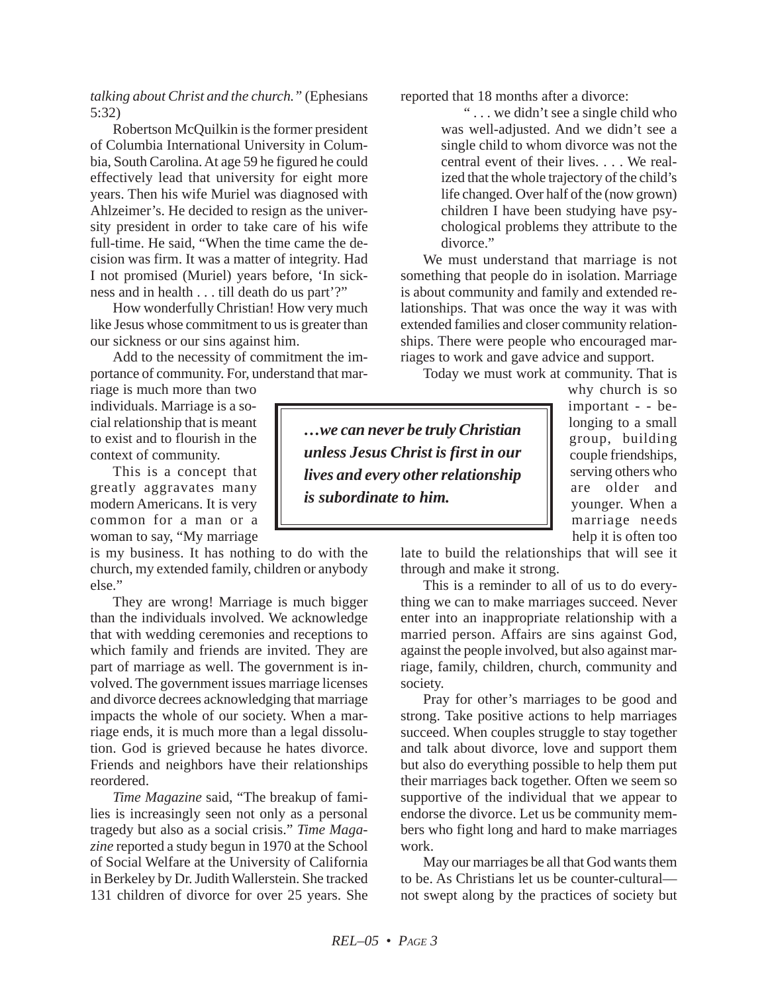*talking about Christ and the church."* (Ephesians 5:32)

Robertson McQuilkin is the former president of Columbia International University in Columbia, South Carolina. At age 59 he figured he could effectively lead that university for eight more years. Then his wife Muriel was diagnosed with Ahlzeimer's. He decided to resign as the university president in order to take care of his wife full-time. He said, "When the time came the decision was firm. It was a matter of integrity. Had I not promised (Muriel) years before, 'In sickness and in health . . . till death do us part'?"

How wonderfully Christian! How very much like Jesus whose commitment to us is greater than our sickness or our sins against him.

Add to the necessity of commitment the importance of community. For, understand that mar-

riage is much more than two individuals. Marriage is a social relationship that is meant to exist and to flourish in the context of community.

This is a concept that greatly aggravates many modern Americans. It is very common for a man or a woman to say, "My marriage

is my business. It has nothing to do with the church, my extended family, children or anybody else."

They are wrong! Marriage is much bigger than the individuals involved. We acknowledge that with wedding ceremonies and receptions to which family and friends are invited. They are part of marriage as well. The government is involved. The government issues marriage licenses and divorce decrees acknowledging that marriage impacts the whole of our society. When a marriage ends, it is much more than a legal dissolution. God is grieved because he hates divorce. Friends and neighbors have their relationships reordered.

*Time Magazine* said, "The breakup of families is increasingly seen not only as a personal tragedy but also as a social crisis." *Time Magazine* reported a study begun in 1970 at the School of Social Welfare at the University of California in Berkeley by Dr. Judith Wallerstein. She tracked 131 children of divorce for over 25 years. She reported that 18 months after a divorce:

" . . . we didn't see a single child who was well-adjusted. And we didn't see a single child to whom divorce was not the central event of their lives. . . . We realized that the whole trajectory of the child's life changed. Over half of the (now grown) children I have been studying have psychological problems they attribute to the divorce."

We must understand that marriage is not something that people do in isolation. Marriage is about community and family and extended relationships. That was once the way it was with extended families and closer community relationships. There were people who encouraged marriages to work and gave advice and support.

Today we must work at community. That is

*…we can never be truly Christian unless Jesus Christ is first in our lives and every other relationship is subordinate to him.*

why church is so important - - belonging to a small group, building couple friendships, serving others who are older and younger. When a marriage needs help it is often too

late to build the relationships that will see it through and make it strong.

This is a reminder to all of us to do everything we can to make marriages succeed. Never enter into an inappropriate relationship with a married person. Affairs are sins against God, against the people involved, but also against marriage, family, children, church, community and society.

Pray for other's marriages to be good and strong. Take positive actions to help marriages succeed. When couples struggle to stay together and talk about divorce, love and support them but also do everything possible to help them put their marriages back together. Often we seem so supportive of the individual that we appear to endorse the divorce. Let us be community members who fight long and hard to make marriages work.

May our marriages be all that God wants them to be. As Christians let us be counter-cultural not swept along by the practices of society but